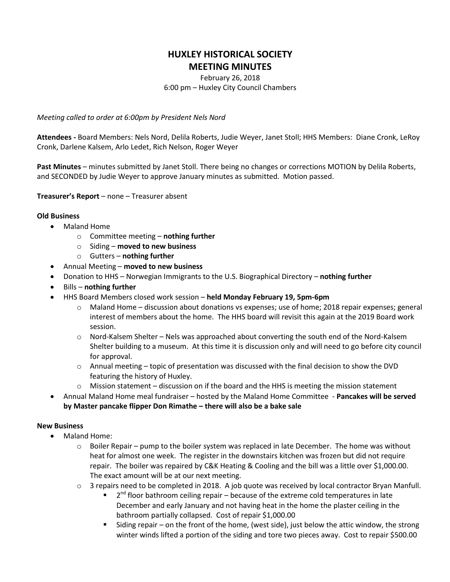# **HUXLEY HISTORICAL SOCIETY MEETING MINUTES**

## February 26, 2018 6:00 pm – Huxley City Council Chambers

*Meeting called to order at 6:00pm by President Nels Nord*

**Attendees -** Board Members: Nels Nord, Delila Roberts, Judie Weyer, Janet Stoll; HHS Members: Diane Cronk, LeRoy Cronk, Darlene Kalsem, Arlo Ledet, Rich Nelson, Roger Weyer

**Past Minutes** – minutes submitted by Janet Stoll. There being no changes or corrections MOTION by Delila Roberts, and SECONDED by Judie Weyer to approve January minutes as submitted. Motion passed.

**Treasurer's Report** – none – Treasurer absent

### **Old Business**

- Maland Home
	- o Committee meeting **nothing further**
	- o Siding **moved to new business**
	- o Gutters **nothing further**
- Annual Meeting **moved to new business**
- Donation to HHS Norwegian Immigrants to the U.S. Biographical Directory **nothing further**
- Bills **nothing further**
- HHS Board Members closed work session **held Monday February 19, 5pm-6pm**
	- o Maland Home discussion about donations vs expenses; use of home; 2018 repair expenses; general interest of members about the home. The HHS board will revisit this again at the 2019 Board work session.
	- $\circ$  Nord-Kalsem Shelter Nels was approached about converting the south end of the Nord-Kalsem Shelter building to a museum. At this time it is discussion only and will need to go before city council for approval.
	- $\circ$  Annual meeting topic of presentation was discussed with the final decision to show the DVD featuring the history of Huxley.
	- $\circ$  Mission statement discussion on if the board and the HHS is meeting the mission statement
- Annual Maland Home meal fundraiser hosted by the Maland Home Committee **Pancakes will be served by Master pancake flipper Don Rimathe – there will also be a bake sale**

#### **New Business**

- Maland Home:
	- $\circ$  Boiler Repair pump to the boiler system was replaced in late December. The home was without heat for almost one week. The register in the downstairs kitchen was frozen but did not require repair. The boiler was repaired by C&K Heating & Cooling and the bill was a little over \$1,000.00. The exact amount will be at our next meeting.
	- o 3 repairs need to be completed in 2018. A job quote was received by local contractor Bryan Manfull.
		- $\blacksquare$  2<sup>nd</sup> floor bathroom ceiling repair because of the extreme cold temperatures in late December and early January and not having heat in the home the plaster ceiling in the bathroom partially collapsed. Cost of repair \$1,000.00
		- Siding repair on the front of the home, (west side), just below the attic window, the strong winter winds lifted a portion of the siding and tore two pieces away. Cost to repair \$500.00